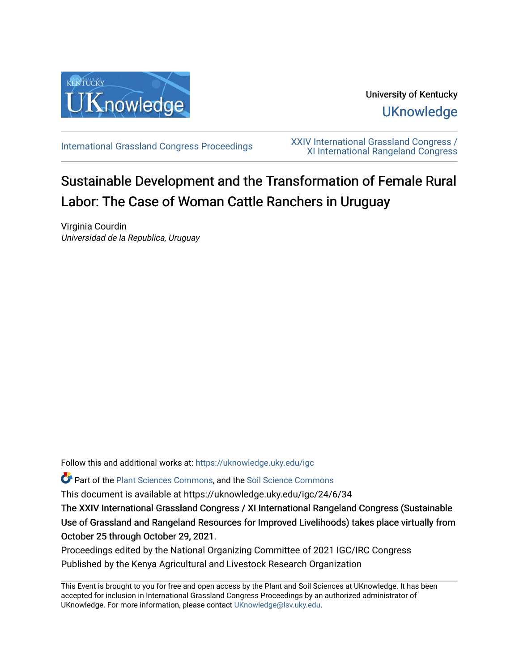

University of Kentucky **UKnowledge** 

[International Grassland Congress Proceedings](https://uknowledge.uky.edu/igc) [XXIV International Grassland Congress /](https://uknowledge.uky.edu/igc/24)  [XI International Rangeland Congress](https://uknowledge.uky.edu/igc/24) 

# Sustainable Development and the Transformation of Female Rural Labor: The Case of Woman Cattle Ranchers in Uruguay

Virginia Courdin Universidad de la Republica, Uruguay

Follow this and additional works at: [https://uknowledge.uky.edu/igc](https://uknowledge.uky.edu/igc?utm_source=uknowledge.uky.edu%2Figc%2F24%2F6%2F34&utm_medium=PDF&utm_campaign=PDFCoverPages) 

Part of the [Plant Sciences Commons](http://network.bepress.com/hgg/discipline/102?utm_source=uknowledge.uky.edu%2Figc%2F24%2F6%2F34&utm_medium=PDF&utm_campaign=PDFCoverPages), and the [Soil Science Commons](http://network.bepress.com/hgg/discipline/163?utm_source=uknowledge.uky.edu%2Figc%2F24%2F6%2F34&utm_medium=PDF&utm_campaign=PDFCoverPages) 

This document is available at https://uknowledge.uky.edu/igc/24/6/34

The XXIV International Grassland Congress / XI International Rangeland Congress (Sustainable Use of Grassland and Rangeland Resources for Improved Livelihoods) takes place virtually from October 25 through October 29, 2021.

Proceedings edited by the National Organizing Committee of 2021 IGC/IRC Congress Published by the Kenya Agricultural and Livestock Research Organization

This Event is brought to you for free and open access by the Plant and Soil Sciences at UKnowledge. It has been accepted for inclusion in International Grassland Congress Proceedings by an authorized administrator of UKnowledge. For more information, please contact [UKnowledge@lsv.uky.edu](mailto:UKnowledge@lsv.uky.edu).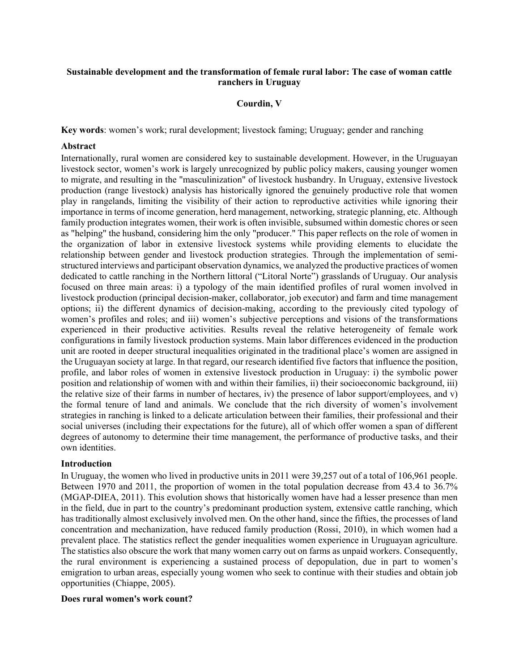# **Sustainable development and the transformation of female rural labor: The case of woman cattle ranchers in Uruguay**

# **Courdin, V**

**Key words**: women's work; rural development; livestock faming; Uruguay; gender and ranching

#### **Abstract**

Internationally, rural women are considered key to sustainable development. However, in the Uruguayan livestock sector, women's work is largely unrecognized by public policy makers, causing younger women to migrate, and resulting in the "masculinization" of livestock husbandry. In Uruguay, extensive livestock production (range livestock) analysis has historically ignored the genuinely productive role that women play in rangelands, limiting the visibility of their action to reproductive activities while ignoring their importance in terms of income generation, herd management, networking, strategic planning, etc. Although family production integrates women, their work is often invisible, subsumed within domestic chores or seen as "helping" the husband, considering him the only "producer." This paper reflects on the role of women in the organization of labor in extensive livestock systems while providing elements to elucidate the relationship between gender and livestock production strategies. Through the implementation of semistructured interviews and participant observation dynamics, we analyzed the productive practices of women dedicated to cattle ranching in the Northern littoral ("Litoral Norte") grasslands of Uruguay. Our analysis focused on three main areas: i) a typology of the main identified profiles of rural women involved in livestock production (principal decision-maker, collaborator, job executor) and farm and time management options; ii) the different dynamics of decision-making, according to the previously cited typology of women's profiles and roles; and iii) women's subjective perceptions and visions of the transformations experienced in their productive activities. Results reveal the relative heterogeneity of female work configurations in family livestock production systems. Main labor differences evidenced in the production unit are rooted in deeper structural inequalities originated in the traditional place's women are assigned in the Uruguayan society at large. In that regard, our research identified five factors that influence the position, profile, and labor roles of women in extensive livestock production in Uruguay: i) the symbolic power position and relationship of women with and within their families, ii) their socioeconomic background, iii) the relative size of their farms in number of hectares, iv) the presence of labor support/employees, and v) the formal tenure of land and animals. We conclude that the rich diversity of women's involvement strategies in ranching is linked to a delicate articulation between their families, their professional and their social universes (including their expectations for the future), all of which offer women a span of different degrees of autonomy to determine their time management, the performance of productive tasks, and their own identities.

#### **Introduction**

In Uruguay, the women who lived in productive units in 2011 were 39,257 out of a total of 106,961 people. Between 1970 and 2011, the proportion of women in the total population decrease from 43.4 to 36.7% (MGAP-DIEA, 2011). This evolution shows that historically women have had a lesser presence than men in the field, due in part to the country's predominant production system, extensive cattle ranching, which has traditionally almost exclusively involved men. On the other hand, since the fifties, the processes of land concentration and mechanization, have reduced family production (Rossi, 2010), in which women had a prevalent place. The statistics reflect the gender inequalities women experience in Uruguayan agriculture. The statistics also obscure the work that many women carry out on farms as unpaid workers. Consequently, the rural environment is experiencing a sustained process of depopulation, due in part to women's emigration to urban areas, especially young women who seek to continue with their studies and obtain job opportunities (Chiappe, 2005).

#### **Does rural women's work count?**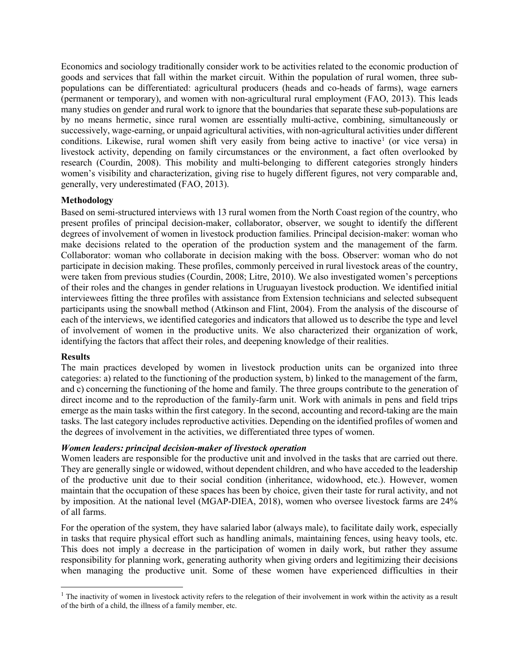Economics and sociology traditionally consider work to be activities related to the economic production of goods and services that fall within the market circuit. Within the population of rural women, three subpopulations can be differentiated: agricultural producers (heads and co-heads of farms), wage earners (permanent or temporary), and women with non-agricultural rural employment (FAO, 2013). This leads many studies on gender and rural work to ignore that the boundaries that separate these sub-populations are by no means hermetic, since rural women are essentially multi-active, combining, simultaneously or successively, wage-earning, or unpaid agricultural activities, with non-agricultural activities under different conditions. Likewise, rural women shift very easily from being active to inactive<sup>[1](#page-2-0)</sup> (or vice versa) in livestock activity, depending on family circumstances or the environment, a fact often overlooked by research (Courdin, 2008). This mobility and multi-belonging to different categories strongly hinders women's visibility and characterization, giving rise to hugely different figures, not very comparable and, generally, very underestimated (FAO, 2013).

# **Methodology**

Based on semi-structured interviews with 13 rural women from the North Coast region of the country, who present profiles of principal decision-maker, collaborator, observer, we sought to identify the different degrees of involvement of women in livestock production families. Principal decision-maker: woman who make decisions related to the operation of the production system and the management of the farm. Collaborator: woman who collaborate in decision making with the boss. Observer: woman who do not participate in decision making. These profiles, commonly perceived in rural livestock areas of the country, were taken from previous studies (Courdin, 2008; Litre, 2010). We also investigated women's perceptions of their roles and the changes in gender relations in Uruguayan livestock production. We identified initial interviewees fitting the three profiles with assistance from Extension technicians and selected subsequent participants using the snowball method (Atkinson and Flint, 2004). From the analysis of the discourse of each of the interviews, we identified categories and indicators that allowed us to describe the type and level of involvement of women in the productive units. We also characterized their organization of work, identifying the factors that affect their roles, and deepening knowledge of their realities.

# **Results**

The main practices developed by women in livestock production units can be organized into three categories: a) related to the functioning of the production system, b) linked to the management of the farm, and c) concerning the functioning of the home and family. The three groups contribute to the generation of direct income and to the reproduction of the family-farm unit. Work with animals in pens and field trips emerge as the main tasks within the first category. In the second, accounting and record-taking are the main tasks. The last category includes reproductive activities. Depending on the identified profiles of women and the degrees of involvement in the activities, we differentiated three types of women.

# *Women leaders: principal decision-maker of livestock operation*

Women leaders are responsible for the productive unit and involved in the tasks that are carried out there. They are generally single or widowed, without dependent children, and who have acceded to the leadership of the productive unit due to their social condition (inheritance, widowhood, etc.). However, women maintain that the occupation of these spaces has been by choice, given their taste for rural activity, and not by imposition. At the national level (MGAP-DIEA, 2018), women who oversee livestock farms are 24% of all farms.

For the operation of the system, they have salaried labor (always male), to facilitate daily work, especially in tasks that require physical effort such as handling animals, maintaining fences, using heavy tools, etc. This does not imply a decrease in the participation of women in daily work, but rather they assume responsibility for planning work, generating authority when giving orders and legitimizing their decisions when managing the productive unit. Some of these women have experienced difficulties in their

<span id="page-2-0"></span> $1$  The inactivity of women in livestock activity refers to the relegation of their involvement in work within the activity as a result of the birth of a child, the illness of a family member, etc.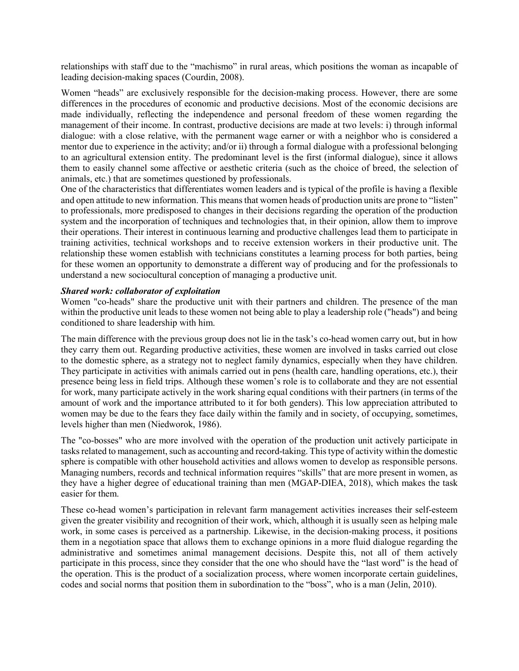relationships with staff due to the "machismo" in rural areas, which positions the woman as incapable of leading decision-making spaces (Courdin, 2008).

Women "heads" are exclusively responsible for the decision-making process. However, there are some differences in the procedures of economic and productive decisions. Most of the economic decisions are made individually, reflecting the independence and personal freedom of these women regarding the management of their income. In contrast, productive decisions are made at two levels: i) through informal dialogue: with a close relative, with the permanent wage earner or with a neighbor who is considered a mentor due to experience in the activity; and/or ii) through a formal dialogue with a professional belonging to an agricultural extension entity. The predominant level is the first (informal dialogue), since it allows them to easily channel some affective or aesthetic criteria (such as the choice of breed, the selection of animals, etc.) that are sometimes questioned by professionals.

One of the characteristics that differentiates women leaders and is typical of the profile is having a flexible and open attitude to new information. This means that women heads of production units are prone to "listen" to professionals, more predisposed to changes in their decisions regarding the operation of the production system and the incorporation of techniques and technologies that, in their opinion, allow them to improve their operations. Their interest in continuous learning and productive challenges lead them to participate in training activities, technical workshops and to receive extension workers in their productive unit. The relationship these women establish with technicians constitutes a learning process for both parties, being for these women an opportunity to demonstrate a different way of producing and for the professionals to understand a new sociocultural conception of managing a productive unit.

# *Shared work: collaborator of exploitation*

Women "co-heads" share the productive unit with their partners and children. The presence of the man within the productive unit leads to these women not being able to play a leadership role ("heads") and being conditioned to share leadership with him.

The main difference with the previous group does not lie in the task's co-head women carry out, but in how they carry them out. Regarding productive activities, these women are involved in tasks carried out close to the domestic sphere, as a strategy not to neglect family dynamics, especially when they have children. They participate in activities with animals carried out in pens (health care, handling operations, etc.), their presence being less in field trips. Although these women's role is to collaborate and they are not essential for work, many participate actively in the work sharing equal conditions with their partners (in terms of the amount of work and the importance attributed to it for both genders). This low appreciation attributed to women may be due to the fears they face daily within the family and in society, of occupying, sometimes, levels higher than men (Niedworok, 1986).

The "co-bosses" who are more involved with the operation of the production unit actively participate in tasks related to management, such as accounting and record-taking. This type of activity within the domestic sphere is compatible with other household activities and allows women to develop as responsible persons. Managing numbers, records and technical information requires "skills" that are more present in women, as they have a higher degree of educational training than men (MGAP-DIEA, 2018), which makes the task easier for them.

These co-head women's participation in relevant farm management activities increases their self-esteem given the greater visibility and recognition of their work, which, although it is usually seen as helping male work, in some cases is perceived as a partnership. Likewise, in the decision-making process, it positions them in a negotiation space that allows them to exchange opinions in a more fluid dialogue regarding the administrative and sometimes animal management decisions. Despite this, not all of them actively participate in this process, since they consider that the one who should have the "last word" is the head of the operation. This is the product of a socialization process, where women incorporate certain guidelines, codes and social norms that position them in subordination to the "boss", who is a man (Jelin, 2010).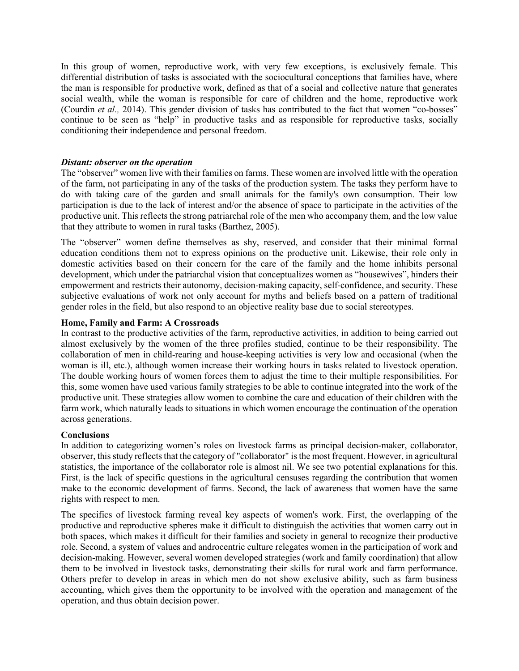In this group of women, reproductive work, with very few exceptions, is exclusively female. This differential distribution of tasks is associated with the sociocultural conceptions that families have, where the man is responsible for productive work, defined as that of a social and collective nature that generates social wealth, while the woman is responsible for care of children and the home, reproductive work (Courdin *et al.,* 2014). This gender division of tasks has contributed to the fact that women "co-bosses" continue to be seen as "help" in productive tasks and as responsible for reproductive tasks, socially conditioning their independence and personal freedom.

#### *Distant: observer on the operation*

The "observer" women live with their families on farms. These women are involved little with the operation of the farm, not participating in any of the tasks of the production system. The tasks they perform have to do with taking care of the garden and small animals for the family's own consumption. Their low participation is due to the lack of interest and/or the absence of space to participate in the activities of the productive unit. This reflects the strong patriarchal role of the men who accompany them, and the low value that they attribute to women in rural tasks (Barthez, 2005).

The "observer" women define themselves as shy, reserved, and consider that their minimal formal education conditions them not to express opinions on the productive unit. Likewise, their role only in domestic activities based on their concern for the care of the family and the home inhibits personal development, which under the patriarchal vision that conceptualizes women as "housewives", hinders their empowerment and restricts their autonomy, decision-making capacity, self-confidence, and security. These subjective evaluations of work not only account for myths and beliefs based on a pattern of traditional gender roles in the field, but also respond to an objective reality base due to social stereotypes.

#### **Home, Family and Farm: A Crossroads**

In contrast to the productive activities of the farm, reproductive activities, in addition to being carried out almost exclusively by the women of the three profiles studied, continue to be their responsibility. The collaboration of men in child-rearing and house-keeping activities is very low and occasional (when the woman is ill, etc.), although women increase their working hours in tasks related to livestock operation. The double working hours of women forces them to adjust the time to their multiple responsibilities. For this, some women have used various family strategies to be able to continue integrated into the work of the productive unit. These strategies allow women to combine the care and education of their children with the farm work, which naturally leads to situations in which women encourage the continuation of the operation across generations.

# **Conclusions**

In addition to categorizing women's roles on livestock farms as principal decision-maker, collaborator, observer, this study reflects that the category of "collaborator" is the most frequent. However, in agricultural statistics, the importance of the collaborator role is almost nil. We see two potential explanations for this. First, is the lack of specific questions in the agricultural censuses regarding the contribution that women make to the economic development of farms. Second, the lack of awareness that women have the same rights with respect to men.

The specifics of livestock farming reveal key aspects of women's work. First, the overlapping of the productive and reproductive spheres make it difficult to distinguish the activities that women carry out in both spaces, which makes it difficult for their families and society in general to recognize their productive role. Second, a system of values and androcentric culture relegates women in the participation of work and decision-making. However, several women developed strategies (work and family coordination) that allow them to be involved in livestock tasks, demonstrating their skills for rural work and farm performance. Others prefer to develop in areas in which men do not show exclusive ability, such as farm business accounting, which gives them the opportunity to be involved with the operation and management of the operation, and thus obtain decision power.